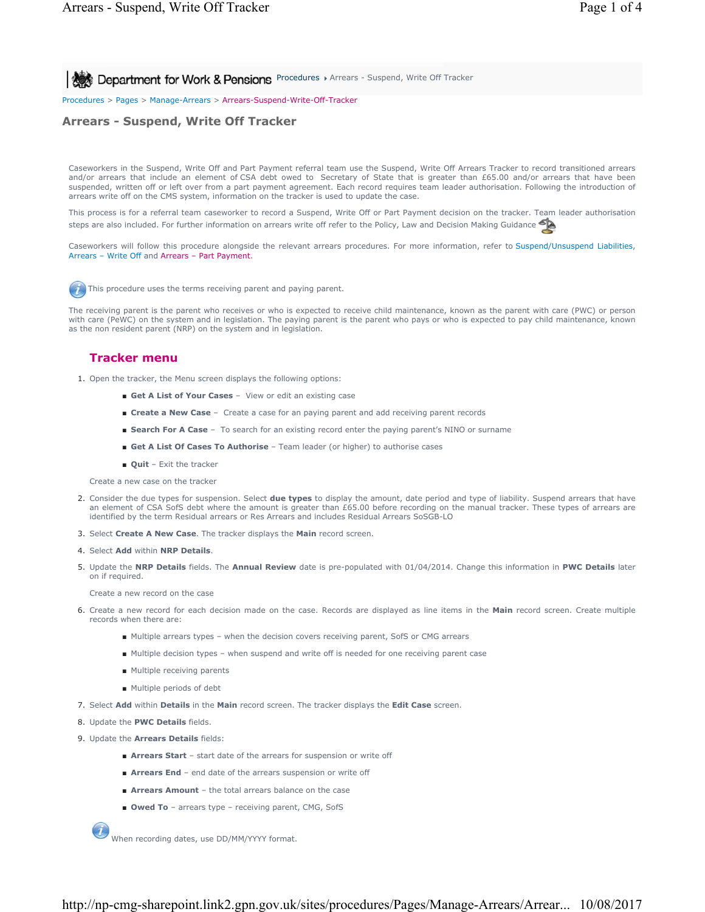**All Act Department for Work & Pensions** Procedures > Arrears - Suspend, Write Off Tracker

Procedures > Pages > Manage-Arrears > Arrears-Suspend-Write-Off-Tracker

### **Arrears - Suspend, Write Off Tracker**

Caseworkers in the Suspend, Write Off and Part Payment referral team use the Suspend, Write Off Arrears Tracker to record transitioned arrears and/or arrears that include an element of CSA debt owed to Secretary of State that is greater than £65.00 and/or arrears that have been suspended, written off or left over from a part payment agreement. Each record requires team leader authorisation. Following the introduction of arrears write off on the CMS system, information on the tracker is used to update the case.

This process is for a referral team caseworker to record a Suspend, Write Off or Part Payment decision on the tracker. Team leader authorisation steps are also included. For further information on arrears write off refer to the Policy, Law and Decision Making Guidance

Caseworkers will follow this procedure alongside the relevant arrears procedures. For more information, refer to Suspend/Unsuspend Liabilities, Arrears – Write Off and Arrears – Part Payment.



This procedure uses the terms receiving parent and paying parent.

The receiving parent is the parent who receives or who is expected to receive child maintenance, known as the parent with care (PWC) or person with care (PeWC) on the system and in legislation. The paying parent is the parent who pays or who is expected to pay child maintenance, known as the non resident parent (NRP) on the system and in legislation.

### **Tracker menu**

1. Open the tracker, the Menu screen displays the following options:

- Get A List of Your Cases View or edit an existing case
- **Create a New Case** Create a case for an paying parent and add receiving parent records
- **Search For A Case** To search for an existing record enter the paying parent's NINO or surname
- **Get A List Of Cases To Authorise** Team leader (or higher) to authorise cases
- **Quit** Exit the tracker

Create a new case on the tracker

- 2. Consider the due types for suspension. Select **due types** to display the amount, date period and type of liability. Suspend arrears that have an element of CSA SofS debt where the amount is greater than £65.00 before recording on the manual tracker. These types of arrears are identified by the term Residual arrears or Res Arrears and includes Residual Arrears SoSGB-LO
- 3. Select **Create A New Case**. The tracker displays the **Main** record screen.
- 4. Select **Add** within **NRP Details**.
- 5. Update the NRP Details fields. The Annual Review date is pre-populated with 01/04/2014. Change this information in PWC Details later on if required.

Create a new record on the case

- 6. Create a new record for each decision made on the case. Records are displayed as line items in the **Main** record screen. Create multiple records when there are:
	- Multiple arrears types when the decision covers receiving parent, SofS or CMG arrears
	- Multiple decision types when suspend and write off is needed for one receiving parent case
	- Multiple receiving parents
	- Multiple periods of debt
- 7. Select **Add** within **Details** in the **Main** record screen. The tracker displays the **Edit Case** screen.
- 8. Update the **PWC Details** fields.
- 9. Update the **Arrears Details** fields:
	- **Arrears Start** start date of the arrears for suspension or write off
	- **Arrears End** end date of the arrears suspension or write off
	- **Arrears Amount** the total arrears balance on the case
	- Owed To arrears type receiving parent, CMG, SofS

When recording dates, use DD/MM/YYYY format.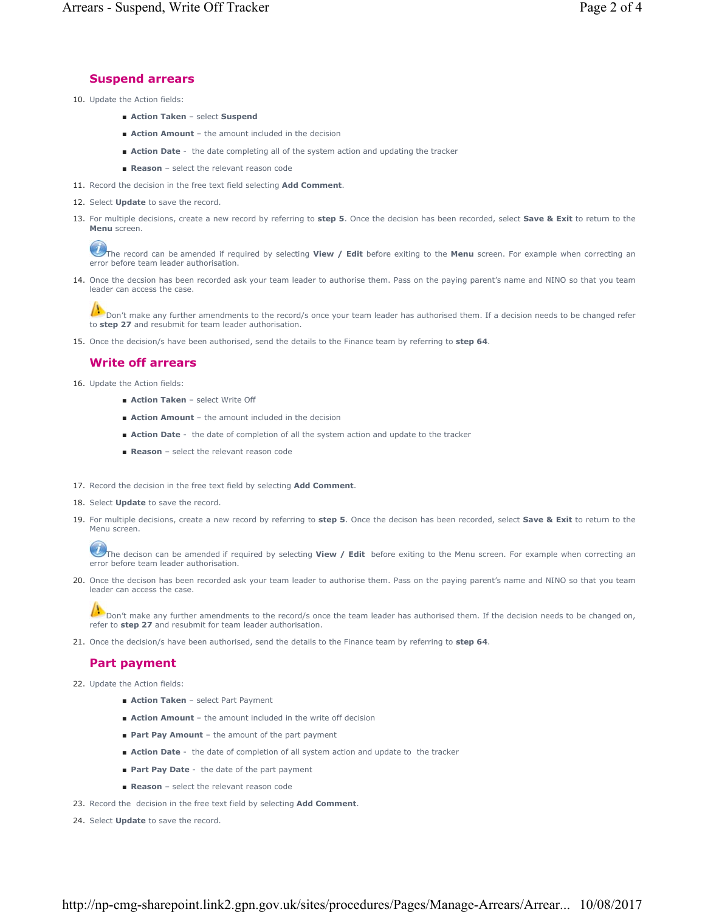### **Suspend arrears**

- 10. Update the Action fields:
	- **Action Taken** select **Suspend**
	- **Action Amount**  the amount included in the decision
	- **Action Date** the date completing all of the system action and updating the tracker
	- **Reason** select the relevant reason code
- 11. Record the decision in the free text field selecting **Add Comment**.
- 12. Select **Update** to save the record.
- 13. For multiple decisions, create a new record by referring to step 5. Once the decision has been recorded, select Save & Exit to return to the **Menu** screen.

The record can be amended if required by selecting **View / Edit** before exiting to the **Menu** screen. For example when correcting an error before team leader authorisation.

14. Once the decsion has been recorded ask your team leader to authorise them. Pass on the paying parent's name and NINO so that you team leader can access the case.

Don't make any further amendments to the record/s once your team leader has authorised them. If a decision needs to be changed refer to **step 27** and resubmit for team leader authorisation.

15. Once the decision/s have been authorised, send the details to the Finance team by referring to **step 64**.

## **Write off arrears**

- 16. Update the Action fields:
	- **Action Taken**  select Write Off
	- **Action Amount** the amount included in the decision
	- **Action Date** the date of completion of all the system action and update to the tracker
	- **Reason** select the relevant reason code
- 17. Record the decision in the free text field by selecting **Add Comment**.
- 18. Select **Update** to save the record.
- 19. For multiple decisions, create a new record by referring to step 5. Once the decison has been recorded, select Save & Exit to return to the Menu screen.

The decison can be amended if required by selecting **View / Edit** before exiting to the Menu screen. For example when correcting an error before team leader authorisation.

20. Once the decison has been recorded ask your team leader to authorise them. Pass on the paying parent's name and NINO so that you team leader can access the case.

Don't make any further amendments to the record/s once the team leader has authorised them. If the decision needs to be changed on, refer to **step 27** and resubmit for team leader authorisation.

21. Once the decision/s have been authorised, send the details to the Finance team by referring to **step 64**.

## **Part payment**

- 22. Update the Action fields:
	- **Action Taken** select Part Payment
	- **Action Amount** the amount included in the write off decision
	- **Part Pay Amount** the amount of the part payment
	- **Action Date** the date of completion of all system action and update to the tracker
	- **Part Pay Date** the date of the part payment
	- **Reason** select the relevant reason code
- 23. Record the decision in the free text field by selecting **Add Comment**.
- 24. Select **Update** to save the record.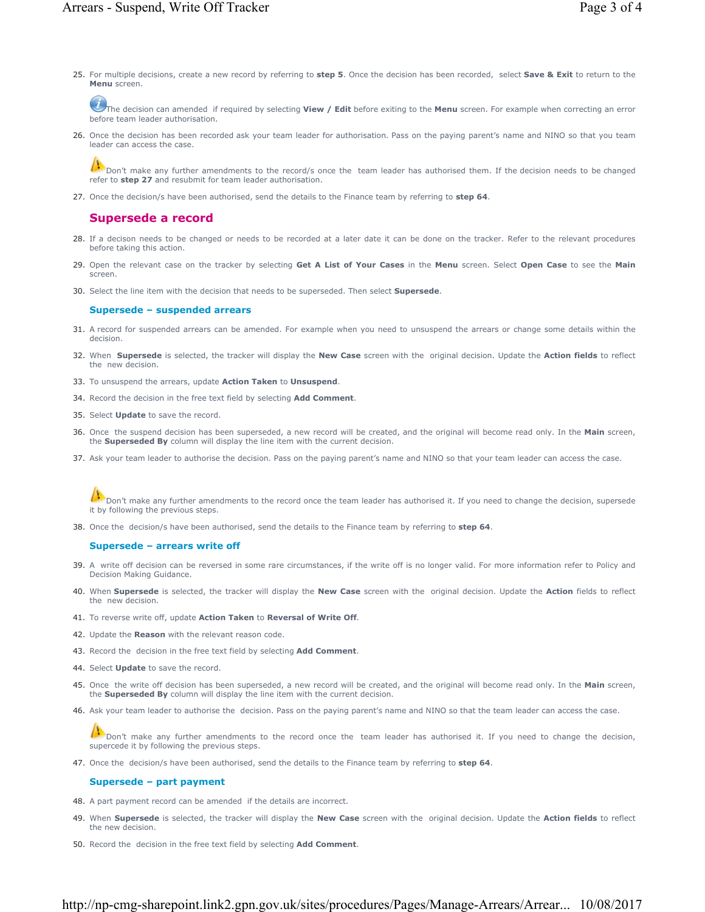For multiple decisions, create a new record by referring to **step 5**. Once the decision has been recorded, select **Save & Exit** to return to the 25. **Menu** screen.

The decision can amended if required by selecting **View / Edit** before exiting to the **Menu** screen. For example when correcting an error before team leader authorisation.

26. Once the decision has been recorded ask your team leader for authorisation. Pass on the paying parent's name and NINO so that you team leader can access the case.

Don't make any further amendments to the record/s once the team leader has authorised them. If the decision needs to be changed refer to **step 27** and resubmit for team leader authorisation.

27. Once the decision/s have been authorised, send the details to the Finance team by referring to **step 64**.

### **Supersede a record**

- 28. If a decison needs to be changed or needs to be recorded at a later date it can be done on the tracker. Refer to the relevant procedures before taking this action.
- Open the relevant case on the tracker by selecting **Get A List of Your Cases** in the **Menu** screen. Select **Open Case** to see the **Main** 29. screen.
- 30. Select the line item with the decision that needs to be superseded. Then select **Supersede**.

#### **Supersede – suspended arrears**

- 31. A record for suspended arrears can be amended. For example when you need to unsuspend the arrears or change some details within the decision.
- When **Supersede** is selected, the tracker will display the **New Case** screen with the original decision. Update the **Action fields** to reflect 32. the new decision.
- 33. To unsuspend the arrears, update **Action Taken** to **Unsuspend**.
- 34. Record the decision in the free text field by selecting **Add Comment**.
- 35. Select **Update** to save the record.
- 36. Once the suspend decision has been superseded, a new record will be created, and the original will become read only. In the Main screen, the **Superseded By** column will display the line item with the current decision.
- 37. Ask your team leader to authorise the decision. Pass on the paying parent's name and NINO so that your team leader can access the case.

Don't make any further amendments to the record once the team leader has authorised it. If you need to change the decision, supersede it by following the previous steps.

38. Once the decision/s have been authorised, send the details to the Finance team by referring to **step 64**.

#### **Supersede – arrears write off**

- 39. A write off decision can be reversed in some rare circumstances, if the write off is no longer valid. For more information refer to Policy and Decision Making Guidance.
- 40. When Supersede is selected, the tracker will display the New Case screen with the original decision. Update the Action fields to reflect the new decision.
- 41. To reverse write off, update **Action Taken** to **Reversal of Write Off**.
- 42. Update the **Reason** with the relevant reason code.
- 43. Record the decision in the free text field by selecting **Add Comment**.
- 44. Select **Update** to save the record.
- 45. Once the write off decision has been superseded, a new record will be created, and the original will become read only. In the Main screen, the **Superseded By** column will display the line item with the current decision.
- 46. Ask your team leader to authorise the decision. Pass on the paying parent's name and NINO so that the team leader can access the case.

Don't make any further amendments to the record once the team leader has authorised it. If you need to change the decision, supercede it by following the previous steps.

47. Once the decision/s have been authorised, send the details to the Finance team by referring to **step 64**.

#### **Supersede – part payment**

- 48. A part payment record can be amended if the details are incorrect.
- When **Supersede** is selected, the tracker will display the **New Case** screen with the original decision. Update the **Action fields** to reflect 49. the new decision.
- 50. Record the decision in the free text field by selecting **Add Comment**.